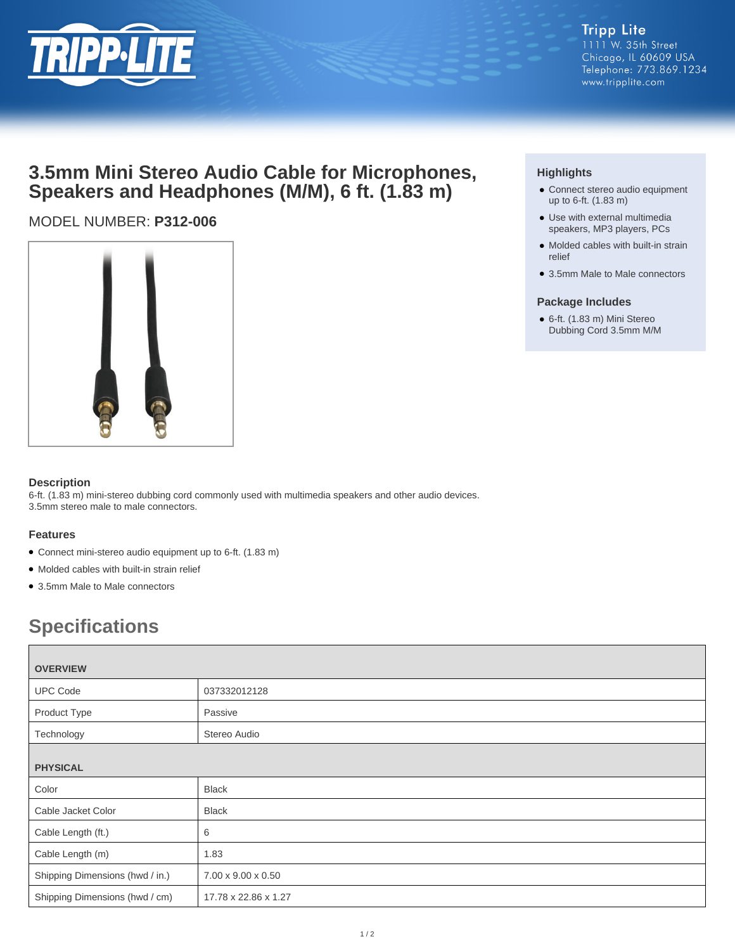

## **3.5mm Mini Stereo Audio Cable for Microphones, Speakers and Headphones (M/M), 6 ft. (1.83 m)**

### MODEL NUMBER: **P312-006**



#### **Description**

6-ft. (1.83 m) mini-stereo dubbing cord commonly used with multimedia speakers and other audio devices. 3.5mm stereo male to male connectors.

#### **Features**

- Connect mini-stereo audio equipment up to 6-ft. (1.83 m)
- Molded cables with built-in strain relief
- 3.5mm Male to Male connectors

# **Specifications**

| <b>OVERVIEW</b>                 |                      |
|---------------------------------|----------------------|
| <b>UPC Code</b>                 | 037332012128         |
| Product Type                    | Passive              |
| Technology                      | Stereo Audio         |
| <b>PHYSICAL</b>                 |                      |
| Color                           | <b>Black</b>         |
| Cable Jacket Color              | <b>Black</b>         |
| Cable Length (ft.)              | 6                    |
| Cable Length (m)                | 1.83                 |
| Shipping Dimensions (hwd / in.) | 7.00 x 9.00 x 0.50   |
| Shipping Dimensions (hwd / cm)  | 17.78 x 22.86 x 1.27 |

#### **Highlights**

- Connect stereo audio equipment up to 6-ft. (1.83 m)
- Use with external multimedia speakers, MP3 players, PCs
- Molded cables with built-in strain relief
- 3.5mm Male to Male connectors

#### **Package Includes**

● 6-ft. (1.83 m) Mini Stereo Dubbing Cord 3.5mm M/M